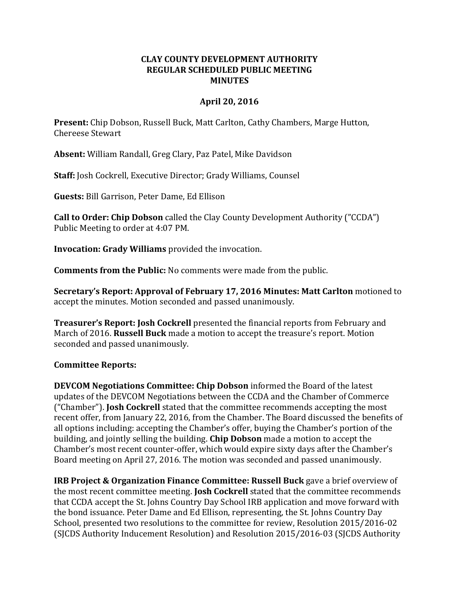## **CLAY COUNTY DEVELOPMENT AUTHORITY REGULAR SCHEDULED PUBLIC MEETING MINUTES**

## **April 20, 2016**

**Present:** Chip Dobson, Russell Buck, Matt Carlton, Cathy Chambers, Marge Hutton, Chereese Stewart

**Absent:** William Randall, Greg Clary, Paz Patel, Mike Davidson

**Staff:** Josh Cockrell, Executive Director; Grady Williams, Counsel

**Guests:** Bill Garrison, Peter Dame, Ed Ellison

**Call to Order: Chip Dobson** called the Clay County Development Authority ("CCDA") Public Meeting to order at 4:07 PM.

**Invocation: Grady Williams** provided the invocation.

**Comments from the Public:** No comments were made from the public.

**Secretary's Report: Approval of February 17, 2016 Minutes: Matt Carlton** motioned to accept the minutes. Motion seconded and passed unanimously.

**Treasurer's Report: Josh Cockrell** presented the financial reports from February and March of 2016. **Russell Buck** made a motion to accept the treasure's report. Motion seconded and passed unanimously.

## **Committee Reports:**

**DEVCOM Negotiations Committee: Chip Dobson** informed the Board of the latest updates of the DEVCOM Negotiations between the CCDA and the Chamber of Commerce ("Chamber"). **Josh Cockrell** stated that the committee recommends accepting the most recent offer, from January 22, 2016, from the Chamber. The Board discussed the benefits of all options including: accepting the Chamber's offer, buying the Chamber's portion of the building, and jointly selling the building. **Chip Dobson** made a motion to accept the Chamber's most recent counter-offer, which would expire sixty days after the Chamber's Board meeting on April 27, 2016. The motion was seconded and passed unanimously.

**IRB Project & Organization Finance Committee: Russell Buck** gave a brief overview of the most recent committee meeting. **Josh Cockrell** stated that the committee recommends that CCDA accept the St. Johns Country Day School IRB application and move forward with the bond issuance. Peter Dame and Ed Ellison, representing, the St. Johns Country Day School, presented two resolutions to the committee for review, Resolution 2015/2016-02 (SJCDS Authority Inducement Resolution) and Resolution 2015/2016-03 (SJCDS Authority